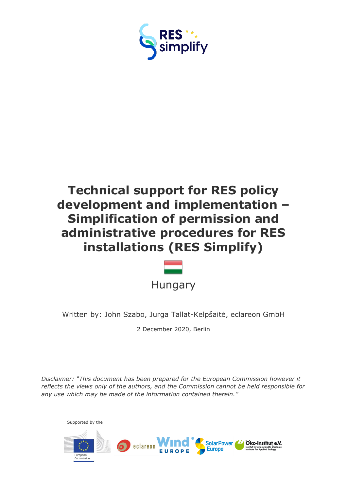



Written by: John Szabo, Jurga Tallat-Kelpšaitė, eclareon GmbH

2 December 2020, Berlin

*Disclaimer: "This document has been prepared for the European Commission however it reflects the views only of the authors, and the Commission cannot be held responsible for any use which may be made of the information contained therein."*

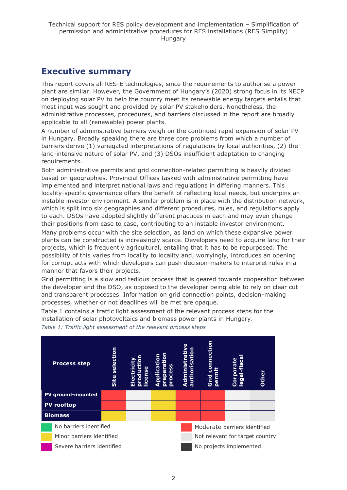# <span id="page-1-0"></span>**Executive summary**

This report covers all RES-E technologies, since the requirements to authorise a power plant are similar. However, the Government of Hungary's (2020) strong focus in its NECP on deploying solar PV to help the country meet its renewable energy targets entails that most input was sought and provided by solar PV stakeholders. Nonetheless, the administrative processes, procedures, and barriers discussed in the report are broadly applicable to all (renewable) power plants.

A number of administrative barriers weigh on the continued rapid expansion of solar PV in Hungary. Broadly speaking there are three core problems from which a number of barriers derive (1) variegated interpretations of regulations by local authorities, (2) the land-intensive nature of solar PV, and (3) DSOs insufficient adaptation to changing requirements.

Both administrative permits and grid connection-related permitting is heavily divided based on geographies. Provincial Offices tasked with administrative permitting have implemented and interpret national laws and regulations in differing manners. This locality-specific governance offers the benefit of reflecting local needs, but underpins an instable investor environment. A similar problem is in place with the distribution network, which is split into six geographies and different procedures, rules, and regulations apply to each. DSOs have adopted slightly different practices in each and may even change their positions from case to case, contributing to an instable investor environment.

Many problems occur with the site selection, as land on which these expansive power plants can be constructed is increasingly scarce. Developers need to acquire land for their projects, which is frequently agricultural, entailing that it has to be repurposed. The possibility of this varies from locality to locality and, worryingly, introduces an opening for corrupt acts with which developers can push decision-makers to interpret rules in a manner that favors their projects.

Grid permitting is a slow and tedious process that is geared towards cooperation between the developer and the DSO, as opposed to the developer being able to rely on clear cut and transparent processes. Information on grid connection points, decision-making processes, whether or not deadlines will be met are opaque.

Table 1 contains a traffic light assessment of the relevant process steps for the installation of solar photovoltaics and biomass power plants in Hungary.

*Table 1: Traffic light assessment of the relevant process steps*

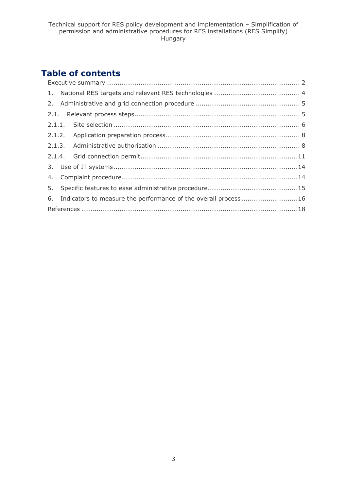# **Table of contents**

| 6. Indicators to measure the performance of the overall process16 |
|-------------------------------------------------------------------|
|                                                                   |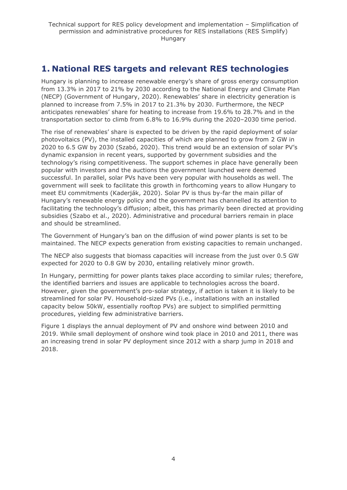# <span id="page-3-0"></span>**1. National RES targets and relevant RES technologies**

Hungary is planning to increase renewable energy's share of gross energy consumption from 13.3% in 2017 to 21% by 2030 according to the National Energy and Climate Plan (NECP) (Government of Hungary, 2020). Renewables' share in electricity generation is planned to increase from 7.5% in 2017 to 21.3% by 2030. Furthermore, the NECP anticipates renewables' share for heating to increase from 19.6% to 28.7% and in the transportation sector to climb from 6.8% to 16.9% during the 2020–2030 time period.

The rise of renewables' share is expected to be driven by the rapid deployment of solar photovoltaics (PV), the installed capacities of which are planned to grow from 2 GW in 2020 to 6.5 GW by 2030 (Szabó, 2020). This trend would be an extension of solar PV's dynamic expansion in recent years, supported by government subsidies and the technology's rising competitiveness. The support schemes in place have generally been popular with investors and the auctions the government launched were deemed successful. In parallel, solar PVs have been very popular with households as well. The government will seek to facilitate this growth in forthcoming years to allow Hungary to meet EU commitments (Kaderják, 2020). Solar PV is thus by-far the main pillar of Hungary's renewable energy policy and the government has channelled its attention to facilitating the technology's diffusion; albeit, this has primarily been directed at providing subsidies (Szabo et al., 2020). Administrative and procedural barriers remain in place and should be streamlined.

The Government of Hungary's ban on the diffusion of wind power plants is set to be maintained. The NECP expects generation from existing capacities to remain unchanged.

The NECP also suggests that biomass capacities will increase from the just over 0.5 GW expected for 2020 to 0.8 GW by 2030, entailing relatively minor growth.

In Hungary, permitting for power plants takes place according to similar rules; therefore, the identified barriers and issues are applicable to technologies across the board. However, given the government's pro-solar strategy, if action is taken it is likely to be streamlined for solar PV. Household-sized PVs (i.e., installations with an installed capacity below 50kW, essentially rooftop PVs) are subject to simplified permitting procedures, yielding few administrative barriers.

Figure 1 displays the annual deployment of PV and onshore wind between 2010 and 2019. While small deployment of onshore wind took place in 2010 and 2011, there was an increasing trend in solar PV deployment since 2012 with a sharp jump in 2018 and 2018.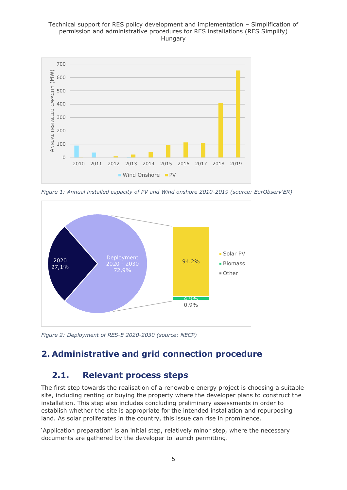

*Figure 1: Annual installed capacity of PV and Wind onshore 2010-2019 (source: EurObserv'ER)*



*Figure 2: Deployment of RES-E 2020-2030 (source: NECP)*

# <span id="page-4-0"></span>**2. Administrative and grid connection procedure**

# <span id="page-4-1"></span>**2.1. Relevant process steps**

The first step towards the realisation of a renewable energy project is choosing a suitable site, including renting or buying the property where the developer plans to construct the installation. This step also includes concluding preliminary assessments in order to establish whether the site is appropriate for the intended installation and repurposing land. As solar proliferates in the country, this issue can rise in prominence.

'Application preparation' is an initial step, relatively minor step, where the necessary documents are gathered by the developer to launch permitting.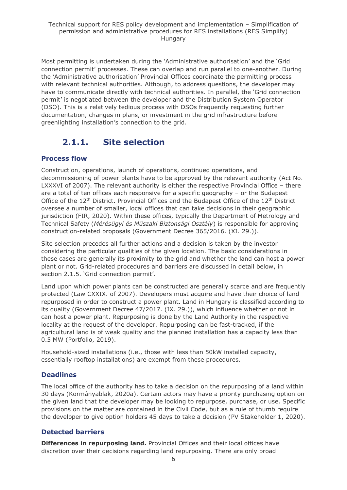Most permitting is undertaken during the 'Administrative authorisation' and the 'Grid connection permit' processes. These can overlap and run parallel to one-another. During the 'Administrative authorisation' Provincial Offices coordinate the permitting process with relevant technical authorities. Although, to address questions, the developer may have to communicate directly with technical authorities. In parallel, the 'Grid connection permit' is negotiated between the developer and the Distribution System Operator (DSO). This is a relatively tedious process with DSOs frequently requesting further documentation, changes in plans, or investment in the grid infrastructure before greenlighting installation's connection to the grid.

# **2.1.1. Site selection**

### <span id="page-5-0"></span>**Process flow**

Construction, operations, launch of operations, continued operations, and decommissioning of power plants have to be approved by the relevant authority (Act No. LXXXVI of 2007). The relevant authority is either the respective Provincial Office - there are a total of ten offices each responsive for a specific geography – or the Budapest Office of the 12<sup>th</sup> District. Provincial Offices and the Budapest Office of the 12<sup>th</sup> District oversee a number of smaller, local offices that can take decisions in their geographic jurisdiction (FIR, 2020). Within these offices, typically the Department of Metrology and Technical Safety (*Mérésügyi és Műszaki Biztonsági Osztály*) is responsible for approving construction-related proposals (Government Decree 365/2016. (XI. 29.)).

Site selection precedes all further actions and a decision is taken by the investor considering the particular qualities of the given location. The basic considerations in these cases are generally its proximity to the grid and whether the land can host a power plant or not. Grid-related procedures and barriers are discussed in detail below, in section 2.1.5. 'Grid connection permit'.

Land upon which power plants can be constructed are generally scarce and are frequently protected (Law CXXIX. of 2007). Developers must acquire and have their choice of land repurposed in order to construct a power plant. Land in Hungary is classified according to its quality (Government Decree 47/2017. (IX. 29.)), which influence whether or not in can host a power plant. Repurposing is done by the Land Authority in the respective locality at the request of the developer. Repurposing can be fast-tracked, if the agricultural land is of weak quality and the planned installation has a capacity less than 0.5 MW (Portfolio, 2019).

Household-sized installations (i.e., those with less than 50kW installed capacity, essentially rooftop installations) are exempt from these procedures.

### **Deadlines**

The local office of the authority has to take a decision on the repurposing of a land within 30 days (Kormányablak, 2020a). Certain actors may have a priority purchasing option on the given land that the developer may be looking to repurpose, purchase, or use. Specific provisions on the matter are contained in the Civil Code, but as a rule of thumb require the developer to give option holders 45 days to take a decision (PV Stakeholder 1, 2020).

### **Detected barriers**

**Differences in repurposing land.** Provincial Offices and their local offices have discretion over their decisions regarding land repurposing. There are only broad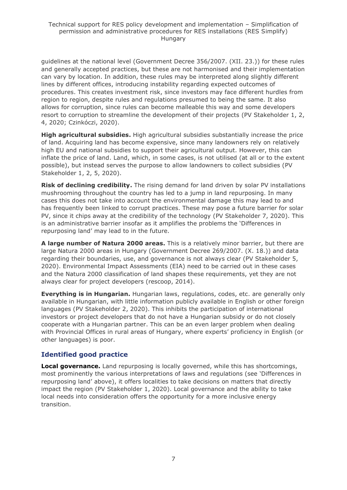guidelines at the national level (Government Decree 356/2007. (XII. 23.)) for these rules and generally accepted practices, but these are not harmonised and their implementation can vary by location. In addition, these rules may be interpreted along slightly different lines by different offices, introducing instability regarding expected outcomes of procedures. This creates investment risk, since investors may face different hurdles from region to region, despite rules and regulations presumed to being the same. It also allows for corruption, since rules can become malleable this way and some developers resort to corruption to streamline the development of their projects (PV Stakeholder 1, 2, 4, 2020; Czinkóczi, 2020).

**High agricultural subsidies.** High agricultural subsidies substantially increase the price of land. Acquiring land has become expensive, since many landowners rely on relatively high EU and national subsidies to support their agricultural output. However, this can inflate the price of land. Land, which, in some cases, is not utilised (at all or to the extent possible), but instead serves the purpose to allow landowners to collect subsidies (PV Stakeholder 1, 2, 5, 2020).

**Risk of declining credibility.** The rising demand for land driven by solar PV installations mushrooming throughout the country has led to a jump in land repurposing. In many cases this does not take into account the environmental damage this may lead to and has frequently been linked to corrupt practices. These may pose a future barrier for solar PV, since it chips away at the credibility of the technology (PV Stakeholder 7, 2020). This is an administrative barrier insofar as it amplifies the problems the 'Differences in repurposing land' may lead to in the future.

**A large number of Natura 2000 areas.** This is a relatively minor barrier, but there are large Natura 2000 areas in Hungary (Government Decree 269/2007. (X. 18.)) and data regarding their boundaries, use, and governance is not always clear (PV Stakeholder 5, 2020). Environmental Impact Assessments (EIA) need to be carried out in these cases and the Natura 2000 classification of land shapes these requirements, yet they are not always clear for project developers (rescoop, 2014).

**Everything is in Hungarian.** Hungarian laws, regulations, codes, etc. are generally only available in Hungarian, with little information publicly available in English or other foreign languages (PV Stakeholder 2, 2020). This inhibits the participation of international investors or project developers that do not have a Hungarian subsidy or do not closely cooperate with a Hungarian partner. This can be an even larger problem when dealing with Provincial Offices in rural areas of Hungary, where experts' proficiency in English (or other languages) is poor.

### **Identified good practice**

**Local governance.** Land repurposing is locally governed, while this has shortcomings, most prominently the various interpretations of laws and regulations (see 'Differences in repurposing land' above), it offers localities to take decisions on matters that directly impact the region (PV Stakeholder 1, 2020). Local governance and the ability to take local needs into consideration offers the opportunity for a more inclusive energy transition.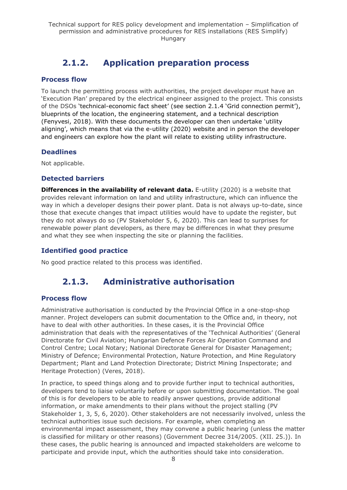# **2.1.2. Application preparation process**

#### <span id="page-7-0"></span>**Process flow**

To launch the permitting process with authorities, the project developer must have an 'Execution Plan' prepared by the electrical engineer assigned to the project. This consists of the DSOs 'technical-economic fact sheet' (see section 2.1.4 'Grid connection permit'), blueprints of the location, the engineering statement, and a technical description (Fenyvesi, 2018). With these documents the developer can then undertake 'utility aligning', which means that via the e-utility (2020) website and in person the developer and engineers can explore how the plant will relate to existing utility infrastructure.

#### **Deadlines**

Not applicable.

### **Detected barriers**

**Differences in the availability of relevant data.** E-utility (2020) is a website that provides relevant information on land and utility infrastructure, which can influence the way in which a developer designs their power plant. Data is not always up-to-date, since those that execute changes that impact utilities would have to update the register, but they do not always do so (PV Stakeholder 5, 6, 2020). This can lead to surprises for renewable power plant developers, as there may be differences in what they presume and what they see when inspecting the site or planning the facilities.

#### **Identified good practice**

<span id="page-7-1"></span>No good practice related to this process was identified.

# **2.1.3. Administrative authorisation**

#### **Process flow**

Administrative authorisation is conducted by the Provincial Office in a one-stop-shop manner. Project developers can submit documentation to the Office and, in theory, not have to deal with other authorities. In these cases, it is the Provincial Office administration that deals with the representatives of the 'Technical Authorities' (General Directorate for Civil Aviation; Hungarian Defence Forces Air Operation Command and Control Centre; Local Notary; National Directorate General for Disaster Management; Ministry of Defence; Environmental Protection, Nature Protection, and Mine Regulatory Department; Plant and Land Protection Directorate; District Mining Inspectorate; and Heritage Protection) (Veres, 2018).

In practice, to speed things along and to provide further input to technical authorities, developers tend to liaise voluntarily before or upon submitting documentation. The goal of this is for developers to be able to readily answer questions, provide additional information, or make amendments to their plans without the project stalling (PV Stakeholder 1, 3, 5, 6, 2020). Other stakeholders are not necessarily involved, unless the technical authorities issue such decisions. For example, when completing an environmental impact assessment, they may convene a public hearing (unless the matter is classified for military or other reasons) (Government Decree 314/2005. (XII. 25.)). In these cases, the public hearing is announced and impacted stakeholders are welcome to participate and provide input, which the authorities should take into consideration.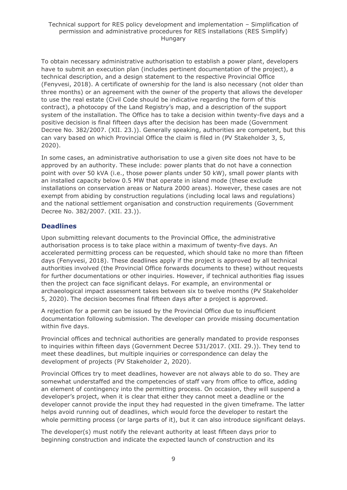To obtain necessary administrative authorisation to establish a power plant, developers have to submit an execution plan (includes pertinent documentation of the project), a technical description, and a design statement to the respective Provincial Office (Fenyvesi, 2018). A certificate of ownership for the land is also necessary (not older than three months) or an agreement with the owner of the property that allows the developer to use the real estate (Civil Code should be indicative regarding the form of this contract), a photocopy of the Land Registry's map, and a description of the support system of the installation. The Office has to take a decision within twenty-five days and a positive decision is final fifteen days after the decision has been made (Government Decree No. 382/2007. (XII. 23.)). Generally speaking, authorities are competent, but this can vary based on which Provincial Office the claim is filed in (PV Stakeholder 3, 5, 2020).

In some cases, an administrative authorisation to use a given site does not have to be approved by an authority. These include: power plants that do not have a connection point with over 50 kVA (i.e., those power plants under 50 kW), small power plants with an installed capacity below 0.5 MW that operate in island mode (these exclude installations on conservation areas or Natura 2000 areas). However, these cases are not exempt from abiding by construction regulations (including local laws and regulations) and the national settlement organisation and construction requirements (Government Decree No. 382/2007. (XII. 23.)).

### **Deadlines**

Upon submitting relevant documents to the Provincial Office, the administrative authorisation process is to take place within a maximum of twenty-five days. An accelerated permitting process can be requested, which should take no more than fifteen days (Fenyvesi, 2018). These deadlines apply if the project is approved by all technical authorities involved (the Provincial Office forwards documents to these) without requests for further documentations or other inquiries. However, if technical authorities flag issues then the project can face significant delays. For example, an environmental or archaeological impact assessment takes between six to twelve months (PV Stakeholder 5, 2020). The decision becomes final fifteen days after a project is approved.

A rejection for a permit can be issued by the Provincial Office due to insufficient documentation following submission. The developer can provide missing documentation within five days.

Provincial offices and technical authorities are generally mandated to provide responses to inquiries within fifteen days (Government Decree 531/2017. (XII. 29.)). They tend to meet these deadlines, but multiple inquiries or correspondence can delay the development of projects (PV Stakeholder 2, 2020).

Provincial Offices try to meet deadlines, however are not always able to do so. They are somewhat understaffed and the competencies of staff vary from office to office, adding an element of contingency into the permitting process. On occasion, they will suspend a developer's project, when it is clear that either they cannot meet a deadline or the developer cannot provide the input they had requested in the given timeframe. The latter helps avoid running out of deadlines, which would force the developer to restart the whole permitting process (or large parts of it), but it can also introduce significant delays.

The developer(s) must notify the relevant authority at least fifteen days prior to beginning construction and indicate the expected launch of construction and its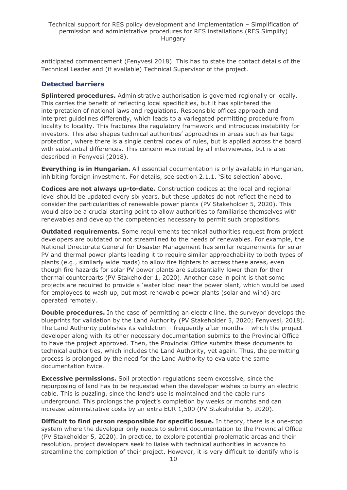anticipated commencement (Fenyvesi 2018). This has to state the contact details of the Technical Leader and (if available) Technical Supervisor of the project.

### **Detected barriers**

**Splintered procedures.** Administrative authorisation is governed regionally or locally. This carries the benefit of reflecting local specificities, but it has splintered the interpretation of national laws and regulations. Responsible offices approach and interpret guidelines differently, which leads to a variegated permitting procedure from locality to locality. This fractures the regulatory framework and introduces instability for investors. This also shapes technical authorities' approaches in areas such as heritage protection, where there is a single central codex of rules, but is applied across the board with substantial differences. This concern was noted by all interviewees, but is also described in Fenyvesi (2018).

**Everything is in Hungarian.** All essential documentation is only available in Hungarian, inhibiting foreign investment. For details, see section 2.1.1. 'Site selection' above.

**Codices are not always up-to-date.** Construction codices at the local and regional level should be updated every six years, but these updates do not reflect the need to consider the particularities of renewable power plants (PV Stakeholder 5, 2020). This would also be a crucial starting point to allow authorities to familiarise themselves with renewables and develop the competencies necessary to permit such propositions.

**Outdated requirements.** Some requirements technical authorities request from project developers are outdated or not streamlined to the needs of renewables. For example, the National Directorate General for Disaster Management has similar requirements for solar PV and thermal power plants leading it to require similar approachability to both types of plants (e.g., similarly wide roads) to allow fire fighters to access these areas, even though fire hazards for solar PV power plants are substantially lower than for their thermal counterparts (PV Stakeholder 1, 2020). Another case in point is that some projects are required to provide a 'water bloc' near the power plant, which would be used for employees to wash up, but most renewable power plants (solar and wind) are operated remotely.

**Double procedures.** In the case of permitting an electric line, the surveyor develops the blueprints for validation by the Land Authority (PV Stakeholder 5, 2020; Fenyvesi, 2018). The Land Authority publishes its validation – frequently after months – which the project developer along with its other necessary documentation submits to the Provincial Office to have the project approved. Then, the Provincial Office submits these documents to technical authorities, which includes the Land Authority, yet again. Thus, the permitting process is prolonged by the need for the Land Authority to evaluate the same documentation twice.

**Excessive permissions.** Soil protection regulations seem excessive, since the repurposing of land has to be requested when the developer wishes to burry an electric cable. This is puzzling, since the land's use is maintained and the cable runs underground. This prolongs the project's completion by weeks or months and can increase administrative costs by an extra EUR 1,500 (PV Stakeholder 5, 2020).

**Difficult to find person responsible for specific issue.** In theory, there is a one-stop system where the developer only needs to submit documentation to the Provincial Office (PV Stakeholder 5, 2020). In practice, to explore potential problematic areas and their resolution, project developers seek to liaise with technical authorities in advance to streamline the completion of their project. However, it is very difficult to identify who is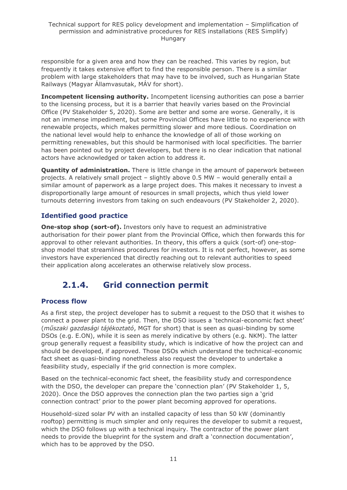responsible for a given area and how they can be reached. This varies by region, but frequently it takes extensive effort to find the responsible person. There is a similar problem with large stakeholders that may have to be involved, such as Hungarian State Railways (Magyar Államvasutak, MÁV for short).

**Incompetent licensing authority.** Incompetent licensing authorities can pose a barrier to the licensing process, but it is a barrier that heavily varies based on the Provincial Office (PV Stakeholder 5, 2020). Some are better and some are worse. Generally, it is not an immense impediment, but some Provincial Offices have little to no experience with renewable projects, which makes permitting slower and more tedious. Coordination on the national level would help to enhance the knowledge of all of those working on permitting renewables, but this should be harmonised with local specificities. The barrier has been pointed out by project developers, but there is no clear indication that national actors have acknowledged or taken action to address it.

**Quantity of administration.** There is little change in the amount of paperwork between projects. A relatively small project – slightly above 0.5 MW – would generally entail a similar amount of paperwork as a large project does. This makes it necessary to invest a disproportionally large amount of resources in small projects, which thus yield lower turnouts deterring investors from taking on such endeavours (PV Stakeholder 2, 2020).

### **Identified good practice**

**One-stop shop (sort-of).** Investors only have to request an administrative authorisation for their power plant from the Provincial Office, which then forwards this for approval to other relevant authorities. In theory, this offers a quick (sort-of) one-stopshop model that streamlines procedures for investors. It is not perfect, however, as some investors have experienced that directly reaching out to relevant authorities to speed their application along accelerates an otherwise relatively slow process.

# <span id="page-10-0"></span>**2.1.4. Grid connection permit**

### **Process flow**

As a first step, the project developer has to submit a request to the DSO that it wishes to connect a power plant to the grid. Then, the DSO issues a 'technical-economic fact sheet' (*műszaki gazdasági tájékoztató*, MGT for short) that is seen as quasi-binding by some DSOs (e.g. E.ON), while it is seen as merely indicative by others (e.g. NKM). The latter group generally request a feasibility study, which is indicative of how the project can and should be developed, if approved. Those DSOs which understand the technical-economic fact sheet as quasi-binding nonetheless also request the developer to undertake a feasibility study, especially if the grid connection is more complex.

Based on the technical-economic fact sheet, the feasibility study and correspondence with the DSO, the developer can prepare the 'connection plan' (PV Stakeholder 1, 5, 2020). Once the DSO approves the connection plan the two parties sign a 'grid connection contract' prior to the power plant becoming approved for operations.

Household-sized solar PV with an installed capacity of less than 50 kW (dominantly rooftop) permitting is much simpler and only requires the developer to submit a request, which the DSO follows up with a technical inquiry. The contractor of the power plant needs to provide the blueprint for the system and draft a 'connection documentation', which has to be approved by the DSO.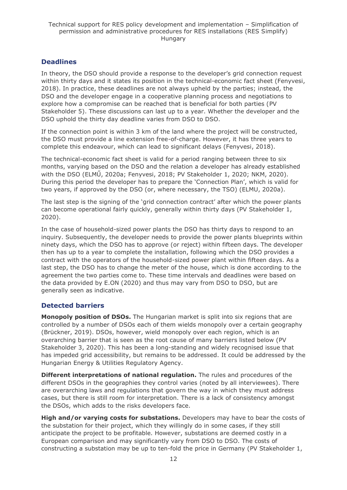### **Deadlines**

In theory, the DSO should provide a response to the developer's grid connection request within thirty days and it states its position in the technical-economic fact sheet (Fenyvesi, 2018). In practice, these deadlines are not always upheld by the parties; instead, the DSO and the developer engage in a cooperative planning process and negotiations to explore how a compromise can be reached that is beneficial for both parties (PV Stakeholder 5). These discussions can last up to a year. Whether the developer and the DSO uphold the thirty day deadline varies from DSO to DSO.

If the connection point is within 3 km of the land where the project will be constructed, the DSO must provide a line extension free-of-charge. However, it has three years to complete this endeavour, which can lead to significant delays (Fenyvesi, 2018).

The technical-economic fact sheet is valid for a period ranging between three to six months, varying based on the DSO and the relation a developer has already established with the DSO (ELMŰ, 2020a; Fenyvesi, 2018; PV Stakeholder 1, 2020; NKM, 2020). During this period the developer has to prepare the 'Connection Plan', which is valid for two years, if approved by the DSO (or, where necessary, the TSO) (ELMU, 2020a).

The last step is the signing of the 'grid connection contract' after which the power plants can become operational fairly quickly, generally within thirty days (PV Stakeholder 1, 2020).

In the case of household-sized power plants the DSO has thirty days to respond to an inquiry. Subsequently, the developer needs to provide the power plants blueprints within ninety days, which the DSO has to approve (or reject) within fifteen days. The developer then has up to a year to complete the installation, following which the DSO provides a contract with the operators of the household-sized power plant within fifteen days. As a last step, the DSO has to change the meter of the house, which is done according to the agreement the two parties come to. These time intervals and deadlines were based on the data provided by E.ON (2020) and thus may vary from DSO to DSO, but are generally seen as indicative.

### **Detected barriers**

**Monopoly position of DSOs.** The Hungarian market is split into six regions that are controlled by a number of DSOs each of them wields monopoly over a certain geography (Brückner, 2019). DSOs, however, wield monopoly over each region, which is an overarching barrier that is seen as the root cause of many barriers listed below (PV Stakeholder 3, 2020). This has been a long-standing and widely recognised issue that has impeded grid accessibility, but remains to be addressed. It could be addressed by the Hungarian Energy & Utilities Regulatory Agency.

**Different interpretations of national regulation.** The rules and procedures of the different DSOs in the geographies they control varies (noted by all interviewees). There are overarching laws and regulations that govern the way in which they must address cases, but there is still room for interpretation. There is a lack of consistency amongst the DSOs, which adds to the risks developers face.

**High and/or varying costs for substations.** Developers may have to bear the costs of the substation for their project, which they willingly do in some cases, if they still anticipate the project to be profitable. However, substations are deemed costly in a European comparison and may significantly vary from DSO to DSO. The costs of constructing a substation may be up to ten-fold the price in Germany (PV Stakeholder 1,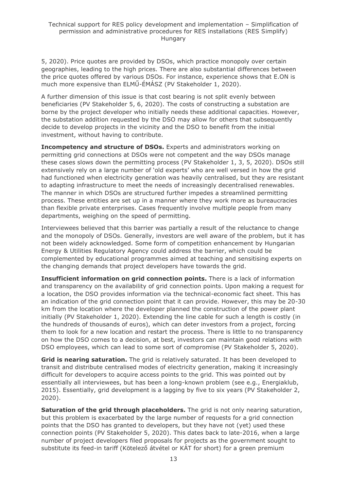5, 2020). Price quotes are provided by DSOs, which practice monopoly over certain geographies, leading to the high prices. There are also substantial differences between the price quotes offered by various DSOs. For instance, experience shows that E.ON is much more expensive than ELMŰ-ÉMÁSZ (PV Stakeholder 1, 2020).

A further dimension of this issue is that cost bearing is not split evenly between beneficiaries (PV Stakeholder 5, 6, 2020). The costs of constructing a substation are borne by the project developer who initially needs these additional capacities. However, the substation addition requested by the DSO may allow for others that subsequently decide to develop projects in the vicinity and the DSO to benefit from the initial investment, without having to contribute.

**Incompetency and structure of DSOs.** Experts and administrators working on permitting grid connections at DSOs were not competent and the way DSOs manage these cases slows down the permitting process (PV Stakeholder 1, 3, 5, 2020). DSOs still extensively rely on a large number of 'old experts' who are well versed in how the grid had functioned when electricity generation was heavily centralised, but they are resistant to adapting infrastructure to meet the needs of increasingly decentralised renewables. The manner in which DSOs are structured further impedes a streamlined permitting process. These entities are set up in a manner where they work more as bureaucracies than flexible private enterprises. Cases frequently involve multiple people from many departments, weighing on the speed of permitting.

Interviewees believed that this barrier was partially a result of the reluctance to change and the monopoly of DSOs. Generally, investors are well aware of the problem, but it has not been widely acknowledged. Some form of competition enhancement by Hungarian Energy & Utilities Regulatory Agency could address the barrier, which could be complemented by educational programmes aimed at teaching and sensitising experts on the changing demands that project developers have towards the grid.

**Insufficient information on grid connection points.** There is a lack of information and transparency on the availability of grid connection points. Upon making a request for a location, the DSO provides information via the technical-economic fact sheet. This has an indication of the grid connection point that it can provide. However, this may be 20-30 km from the location where the developer planned the construction of the power plant initially (PV Stakeholder 1, 2020). Extending the line cable for such a length is costly (in the hundreds of thousands of euros), which can deter investors from a project, forcing them to look for a new location and restart the process. There is little to no transparency on how the DSO comes to a decision, at best, investors can maintain good relations with DSO employees, which can lead to some sort of compromise (PV Stakeholder 5, 2020).

**Grid is nearing saturation.** The grid is relatively saturated. It has been developed to transit and distribute centralised modes of electricity generation, making it increasingly difficult for developers to acquire access points to the grid. This was pointed out by essentially all interviewees, but has been a long-known problem (see e.g., Energiaklub, 2015). Essentially, grid development is a lagging by five to six years (PV Stakeholder 2, 2020).

**Saturation of the grid through placeholders.** The grid is not only nearing saturation, but this problem is exacerbated by the large number of requests for a grid connection points that the DSO has granted to developers, but they have not (yet) used these connection points (PV Stakeholder 5, 2020). This dates back to late-2016, when a large number of project developers filed proposals for projects as the government sought to substitute its feed-in tariff (Kötelező átvétel or KÁT for short) for a green premium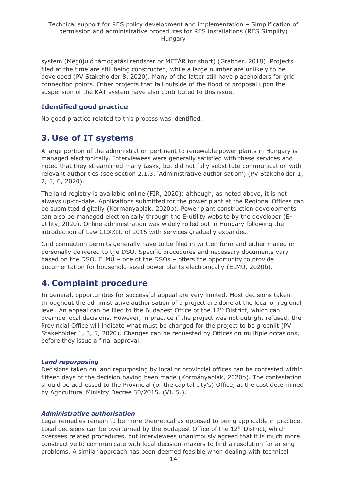system (Megújuló támogatási rendszer or METÁR for short) (Grabner, 2018). Projects filed at the time are still being constructed, while a large number are unlikely to be developed (PV Stakeholder 8, 2020). Many of the latter still have placeholders for grid connection points. Other projects that fall outside of the flood of proposal upon the suspension of the KÁT system have also contributed to this issue.

### **Identified good practice**

No good practice related to this process was identified.

# <span id="page-13-0"></span>**3. Use of IT systems**

A large portion of the administration pertinent to renewable power plants in Hungary is managed electronically. Interviewees were generally satisfied with these services and noted that they streamlined many tasks, but did not fully substitute communication with relevant authorities (see section 2.1.3. 'Administrative authorisation') (PV Stakeholder 1, 2, 5, 6, 2020).

The land registry is available online (FIR, 2020); although, as noted above, it is not always up-to-date. Applications submitted for the power plant at the Regional Offices can be submitted digitally (Kormányablak, 2020b). Power plant construction developments can also be managed electronically through the E-utility website by the developer (Eutility, 2020). Online administration was widely rolled out in Hungary following the introduction of Law CCXXII. of 2015 with services gradually expanded.

Grid connection permits generally have to be filed in written form and either mailed or personally delivered to the DSO. Specific procedures and necessary documents vary based on the DSO. ELMŰ – one of the DSOs – offers the opportunity to provide documentation for household-sized power plants electronically (ELMŰ, 2020b).

# <span id="page-13-1"></span>**4. Complaint procedure**

In general, opportunities for successful appeal are very limited. Most decisions taken throughout the administrative authorisation of a project are done at the local or regional level. An appeal can be filed to the Budapest Office of the 12<sup>th</sup> District, which can override local decisions. However, in practice if the project was not outright refused, the Provincial Office will indicate what must be changed for the project to be greenlit (PV Stakeholder 1, 3, 5, 2020). Changes can be requested by Offices on multiple occasions, before they issue a final approval.

#### *Land repurposing*

Decisions taken on land repurposing by local or provincial offices can be contested within fifteen days of the decision having been made (Kormányablak, 2020b). The contestation should be addressed to the Provincial (or the capital city's) Office, at the cost determined by Agricultural Ministry Decree 30/2015. (VI. 5.).

#### *Administrative authorisation*

Legal remedies remain to be more theoretical as opposed to being applicable in practice. Local decisions can be overturned by the Budapest Office of the 12<sup>th</sup> District, which oversees related procedures, but interviewees unanimously agreed that it is much more constructive to communicate with local decision-makers to find a resolution for arising problems. A similar approach has been deemed feasible when dealing with technical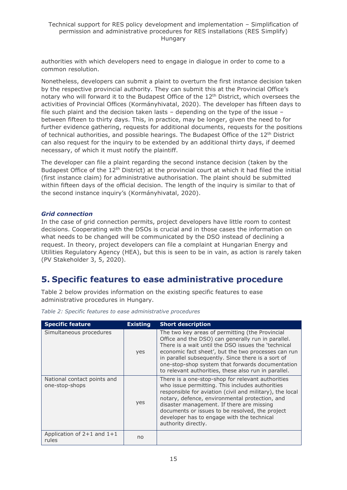authorities with which developers need to engage in dialogue in order to come to a common resolution.

Nonetheless, developers can submit a plaint to overturn the first instance decision taken by the respective provincial authority. They can submit this at the Provincial Office's notary who will forward it to the Budapest Office of the 12<sup>th</sup> District, which oversees the activities of Provincial Offices (Kormányhivatal, 2020). The developer has fifteen days to file such plaint and the decision taken lasts – depending on the type of the issue – between fifteen to thirty days. This, in practice, may be longer, given the need to for further evidence gathering, requests for additional documents, requests for the positions of technical authorities, and possible hearings. The Budapest Office of the 12<sup>th</sup> District can also request for the inquiry to be extended by an additional thirty days, if deemed necessary, of which it must notify the plaintiff.

The developer can file a plaint regarding the second instance decision (taken by the Budapest Office of the  $12<sup>th</sup>$  District) at the provincial court at which it had filed the initial (first instance claim) for administrative authorisation. The plaint should be submitted within fifteen days of the official decision. The length of the inquiry is similar to that of the second instance inquiry's (Kormányhivatal, 2020).

#### *Grid connection*

In the case of grid connection permits, project developers have little room to contest decisions. Cooperating with the DSOs is crucial and in those cases the information on what needs to be changed will be communicated by the DSO instead of declining a request. In theory, project developers can file a complaint at Hungarian Energy and Utilities Regulatory Agency (HEA), but this is seen to be in vain, as action is rarely taken (PV Stakeholder 3, 5, 2020).

### <span id="page-14-0"></span>**5. Specific features to ease administrative procedure**

Table 2 below provides information on the existing specific features to ease administrative procedures in Hungary.

| <b>Specific feature</b>                       | <b>Existing</b> | <b>Short description</b>                                                                                                                                                                                                                                                                                                                                                                |
|-----------------------------------------------|-----------------|-----------------------------------------------------------------------------------------------------------------------------------------------------------------------------------------------------------------------------------------------------------------------------------------------------------------------------------------------------------------------------------------|
| Simultaneous procedures                       | yes             | The two key areas of permitting (the Provincial<br>Office and the DSO) can generally run in parallel.<br>There is a wait until the DSO issues the 'technical<br>economic fact sheet', but the two processes can run<br>in parallel subsequently. Since there is a sort of<br>one-stop-shop system that forwards documentation<br>to relevant authorities, these also run in parallel.   |
| National contact points and<br>one-stop-shops | yes             | There is a one-stop-shop for relevant authorities<br>who issue permitting. This includes authorities<br>responsible for aviation (civil and military), the local<br>notary, defence, environmental protection, and<br>disaster management. If there are missing<br>documents or issues to be resolved, the project<br>developer has to engage with the technical<br>authority directly. |
| Application of $2+1$ and $1+1$<br>rules       | no              |                                                                                                                                                                                                                                                                                                                                                                                         |

*Table 2: Specific features to ease administrative procedures*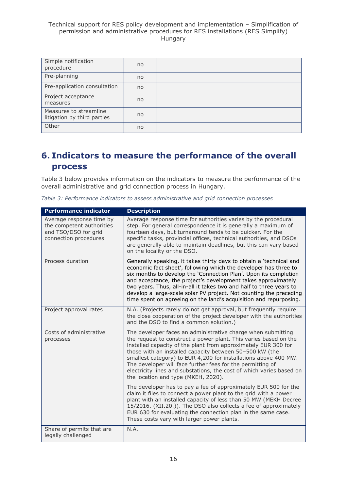| Simple notification<br>procedure                      | no |  |
|-------------------------------------------------------|----|--|
| Pre-planning                                          | no |  |
| Pre-application consultation                          | no |  |
| Project acceptance<br>measures                        | no |  |
| Measures to streamline<br>litigation by third parties | no |  |
| Other                                                 | no |  |

# <span id="page-15-0"></span>**6. Indicators to measure the performance of the overall process**

Table 3 below provides information on the indicators to measure the performance of the overall administrative and grid connection process in Hungary.

|  |  | Table 3: Performance indicators to assess administrative and grid connection processes |  |  |
|--|--|----------------------------------------------------------------------------------------|--|--|
|  |  |                                                                                        |  |  |

| <b>Performance indicator</b>                                                                           | <b>Description</b>                                                                                                                                                                                                                                                                                                                                                                                                                                                                                            |
|--------------------------------------------------------------------------------------------------------|---------------------------------------------------------------------------------------------------------------------------------------------------------------------------------------------------------------------------------------------------------------------------------------------------------------------------------------------------------------------------------------------------------------------------------------------------------------------------------------------------------------|
| Average response time by<br>the competent authorities<br>and TSO/DSO for grid<br>connection procedures | Average response time for authorities varies by the procedural<br>step. For general correspondence it is generally a maximum of<br>fourteen days, but turnaround tends to be quicker. For the<br>specific tasks, provincial offices, technical authorities, and DSOs<br>are generally able to maintain deadlines, but this can vary based<br>on the locality or the DSO.                                                                                                                                      |
| Process duration                                                                                       | Generally speaking, it takes thirty days to obtain a 'technical and<br>economic fact sheet', following which the developer has three to<br>six months to develop the 'Connection Plan'. Upon its completion<br>and acceptance, the project's development takes approximately<br>two years. Thus, all-in-all it takes two and half to three years to<br>develop a large-scale solar PV project. Not counting the preceding<br>time spent on agreeing on the land's acquisition and repurposing.                |
| Project approval rates                                                                                 | N.A. (Projects rarely do not get approval, but frequently require<br>the close cooperation of the project developer with the authorities<br>and the DSO to find a common solution.)                                                                                                                                                                                                                                                                                                                           |
| Costs of administrative<br>processes                                                                   | The developer faces an administrative charge when submitting<br>the request to construct a power plant. This varies based on the<br>installed capacity of the plant from approximately EUR 300 for<br>those with an installed capacity between 50-500 kW (the<br>smallest category) to EUR 4,200 for installations above 400 MW.<br>The developer will face further fees for the permitting of<br>electricity lines and substations, the cost of which varies based on<br>the location and type (MKEH, 2020). |
|                                                                                                        | The developer has to pay a fee of approximately EUR 500 for the<br>claim it files to connect a power plant to the grid with a power<br>plant with an installed capacity of less than 50 MW (MEKH Decree<br>15/2016. (XII.20.)). The DSO also collects a fee of approximately<br>EUR 630 for evaluating the connection plan in the same case.<br>These costs vary with larger power plants.                                                                                                                    |
| Share of permits that are<br>legally challenged                                                        | N.A.                                                                                                                                                                                                                                                                                                                                                                                                                                                                                                          |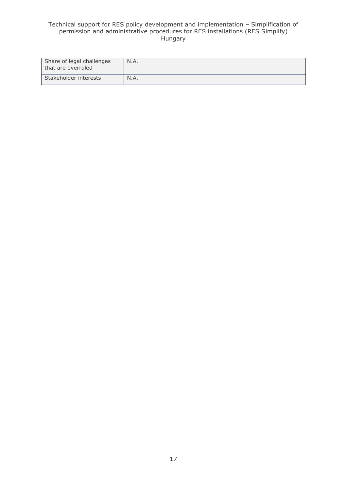| Share of legal challenges<br>that are overruled | N.A. |
|-------------------------------------------------|------|
| Stakeholder interests                           | N.A. |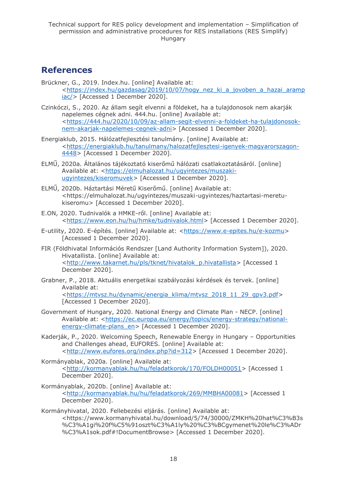### <span id="page-17-0"></span>**References**

- Brückner, G., 2019. Index.hu. [online] Available at: [<https://index.hu/gazdasag/2019/10/07/hogy\\_nez\\_ki\\_a\\_jovoben\\_a\\_hazai\\_aramp](https://index.hu/gazdasag/2019/10/07/hogy_nez_ki_a_jovoben_a_hazai_arampiac/) [iac/>](https://index.hu/gazdasag/2019/10/07/hogy_nez_ki_a_jovoben_a_hazai_arampiac/) [Accessed 1 December 2020].
- Czinkóczi, S., 2020. Az állam segít elvenni a földeket, ha a tulajdonosok nem akarják napelemes cégnek adni. 444.hu. [online] Available at: [<https://444.hu/2020/10/09/az-allam-segit-elvenni-a-foldeket-ha-tulajdonosok](https://444.hu/2020/10/09/az-allam-segit-elvenni-a-foldeket-ha-tulajdonosok-nem-akarjak-napelemes-cegnek-adni)[nem-akarjak-napelemes-cegnek-adni>](https://444.hu/2020/10/09/az-allam-segit-elvenni-a-foldeket-ha-tulajdonosok-nem-akarjak-napelemes-cegnek-adni) [Accessed 1 December 2020].
- Energiaklub, 2015. Hálózatfejlesztési tanulmány. [online] Available at: [<https://energiaklub.hu/tanulmany/halozatfejlesztesi-igenyek-magyarorszagon-](https://energiaklub.hu/tanulmany/halozatfejlesztesi-igenyek-magyarorszagon-4448)[4448>](https://energiaklub.hu/tanulmany/halozatfejlesztesi-igenyek-magyarorszagon-4448) [Accessed 1 December 2020].
- ELMŰ, 2020a. Általános tájékoztató kiserőmű hálózati csatlakoztatásáról. [online] Available at: [<https://elmuhalozat.hu/ugyintezes/muszaki](https://elmuhalozat.hu/ugyintezes/muszaki-ugyintezes/kiseromuvek)[ugyintezes/kiseromuvek>](https://elmuhalozat.hu/ugyintezes/muszaki-ugyintezes/kiseromuvek) [Accessed 1 December 2020].
- ELMŰ, 2020b. Háztartási Méretű Kiserőmű. [online] Available at: <https://elmuhalozat.hu/ugyintezes/muszaki-ugyintezes/haztartasi-meretukiseromu> [Accessed 1 December 2020].
- E.ON, 2020. Tudnivalók a HMKE-ről. [online] Available at: [<https://www.eon.hu/hu/hmke/tudnivalok.html>](https://www.eon.hu/hu/hmke/tudnivalok.html) [Accessed 1 December 2020].
- E-utility, 2020. E-építés. [online] Available at: [<https://www.e-epites.hu/e-kozmu>](https://www.e-epites.hu/e-kozmu) [Accessed 1 December 2020].
- FIR (Földhivatal Információs Rendszer [Land Authority Information System]), 2020. Hivatallista. [online] Available at: [<http://www.takarnet.hu/pls/tknet/hivatalok\\_p.hivatallista>](http://www.takarnet.hu/pls/tknet/hivatalok_p.hivatallista) [Accessed 1 December 2020].
- Grabner, P., 2018. Aktuális energetikai szabályozási kérdések és tervek. [online] Available at: [<https://mtvsz.hu/dynamic/energia\\_klima/mtvsz\\_2018\\_11\\_29\\_gpv3.pdf>](https://mtvsz.hu/dynamic/energia_klima/mtvsz_2018_11_29_gpv3.pdf) [Accessed 1 December 2020].
- Government of Hungary, 2020. National Energy and Climate Plan NECP. [online] Available at: [<https://ec.europa.eu/energy/topics/energy-strategy/national](https://ec.europa.eu/energy/topics/energy-strategy/national-energy-climate-plans_en)[energy-climate-plans\\_en>](https://ec.europa.eu/energy/topics/energy-strategy/national-energy-climate-plans_en) [Accessed 1 December 2020].
- Kaderják, P., 2020. Welcoming Speech, Renewable Energy in Hungary Opportunities and Challenges ahead, EUFORES. [online] Available at: [<http://www.eufores.org/index.php?id=312>](http://www.eufores.org/index.php?id=312) [Accessed 1 December 2020].
- Kormányablak, 2020a. [online] Available at: [<http://kormanyablak.hu/hu/feladatkorok/170/FOLDH00051>](http://kormanyablak.hu/hu/feladatkorok/170/FOLDH00051) [Accessed 1 December 2020].
- Kormányablak, 2020b. [online] Available at: [<http://kormanyablak.hu/hu/feladatkorok/269/MMBHA00081>](http://kormanyablak.hu/hu/feladatkorok/269/MMBHA00081) [Accessed 1 December 2020].
- Kormányhivatal, 2020. Fellebezési eljárás. [online] Available at: <https://www.kormanyhivatal.hu/download/5/74/30000/ZMKH%20hat%C3%B3s %C3%A1gi%20f%C5%91oszt%C3%A1ly%20%C3%BCgymenet%20le%C3%ADr %C3%A1sok.pdf#!DocumentBrowse> [Accessed 1 December 2020].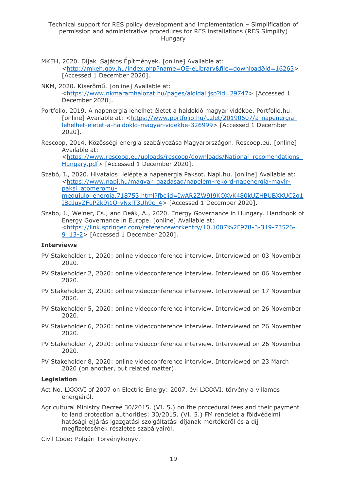- MKEH, 2020. Díjak Sajátos Építmények. [online] Available at: [<http://mkeh.gov.hu/index.php?name=OE-eLibrary&file=download&id=16263>](http://mkeh.gov.hu/index.php?name=OE-eLibrary&file=download&id=16263) [Accessed 1 December 2020].
- NKM, 2020. Kiserőmű. [online] Available at: [<https://www.nkmaramhalozat.hu/pages/aloldal.jsp?id=29747>](https://www.nkmaramhalozat.hu/pages/aloldal.jsp?id=29747) [Accessed 1 December 2020].
- Portfolio, 2019. A napenergia lehelhet életet a haldokló magyar vidékbe. Portfolio.hu. [online] Available at: [<https://www.portfolio.hu/uzlet/20190607/a-napenergia](https://www.portfolio.hu/uzlet/20190607/a-napenergia-lehelhet-eletet-a-haldoklo-magyar-videkbe-326999)[lehelhet-eletet-a-haldoklo-magyar-videkbe-326999>](https://www.portfolio.hu/uzlet/20190607/a-napenergia-lehelhet-eletet-a-haldoklo-magyar-videkbe-326999) [Accessed 1 December 2020].
- Rescoop, 2014. Közösségi energia szabályozása Magyarországon. Rescoop.eu. [online] Available at: [<https://www.rescoop.eu/uploads/rescoop/downloads/National\\_recomendations\\_](https://www.rescoop.eu/uploads/rescoop/downloads/National_recomendations_Hungary.pdf) [Hungary.pdf>](https://www.rescoop.eu/uploads/rescoop/downloads/National_recomendations_Hungary.pdf) [Accessed 1 December 2020].
- Szabó, I., 2020. Hivatalos: lelépte a napenergia Paksot. Napi.hu. [online] Available at: [<https://www.napi.hu/magyar\\_gazdasag/napelem-rekord-napenergia-mavir](https://www.napi.hu/magyar_gazdasag/napelem-rekord-napenergia-mavir-paksi_atomeromu-megujulo_energia.718753.html?fbclid=IwAR2ZW9I9KQXvK480kUZHBUBXKUC2g1IBdJuyZFuP2k9j1Q-vNxlT3Uh9c_4)[paksi\\_atomeromu](https://www.napi.hu/magyar_gazdasag/napelem-rekord-napenergia-mavir-paksi_atomeromu-megujulo_energia.718753.html?fbclid=IwAR2ZW9I9KQXvK480kUZHBUBXKUC2g1IBdJuyZFuP2k9j1Q-vNxlT3Uh9c_4)[megujulo\\_energia.718753.html?fbclid=IwAR2ZW9I9KQXvK480kUZHBUBXKUC2g1](https://www.napi.hu/magyar_gazdasag/napelem-rekord-napenergia-mavir-paksi_atomeromu-megujulo_energia.718753.html?fbclid=IwAR2ZW9I9KQXvK480kUZHBUBXKUC2g1IBdJuyZFuP2k9j1Q-vNxlT3Uh9c_4) [IBdJuyZFuP2k9j1Q-vNxlT3Uh9c\\_4>](https://www.napi.hu/magyar_gazdasag/napelem-rekord-napenergia-mavir-paksi_atomeromu-megujulo_energia.718753.html?fbclid=IwAR2ZW9I9KQXvK480kUZHBUBXKUC2g1IBdJuyZFuP2k9j1Q-vNxlT3Uh9c_4) [Accessed 1 December 2020].
- Szabo, J., Weiner, Cs., and Deák, A., 2020. Energy Governance in Hungary. Handbook of Energy Governance in Europe. [online] Available at: [<https://link.springer.com/referenceworkentry/10.1007%2F978-3-319-73526-](https://link.springer.com/referenceworkentry/10.1007%2F978-3-319-73526-9_13-2) [9\\_13-2>](https://link.springer.com/referenceworkentry/10.1007%2F978-3-319-73526-9_13-2) [Accessed 1 December 2020].

#### **Interviews**

- PV Stakeholder 1, 2020: online videoconference interview. Interviewed on 03 November 2020.
- PV Stakeholder 2, 2020: online videoconference interview. Interviewed on 06 November 2020.
- PV Stakeholder 3, 2020: online videoconference interview. Interviewed on 17 November 2020.
- PV Stakeholder 5, 2020: online videoconference interview. Interviewed on 26 November 2020.
- PV Stakeholder 6, 2020: online videoconference interview. Interviewed on 26 November 2020.
- PV Stakeholder 7, 2020: online videoconference interview. Interviewed on 26 November 2020.
- PV Stakeholder 8, 2020: online videoconference interview. Interviewed on 23 March 2020 (on another, but related matter).

#### **Legislation**

- Act No. LXXXVI of 2007 on Electric Energy: 2007. évi LXXXVI. törvény a villamos energiáról.
- Agricultural Ministry Decree 30/2015. (VI. 5.) on the procedural fees and their payment to land protection authorities: 30/2015. (VI. 5.) FM rendelet a földvédelmi hatósági eljárás igazgatási szolgáltatási díjának mértékéről és a díj megfizetésének részletes szabályairól.

Civil Code: Polgári Törvénykönyv.